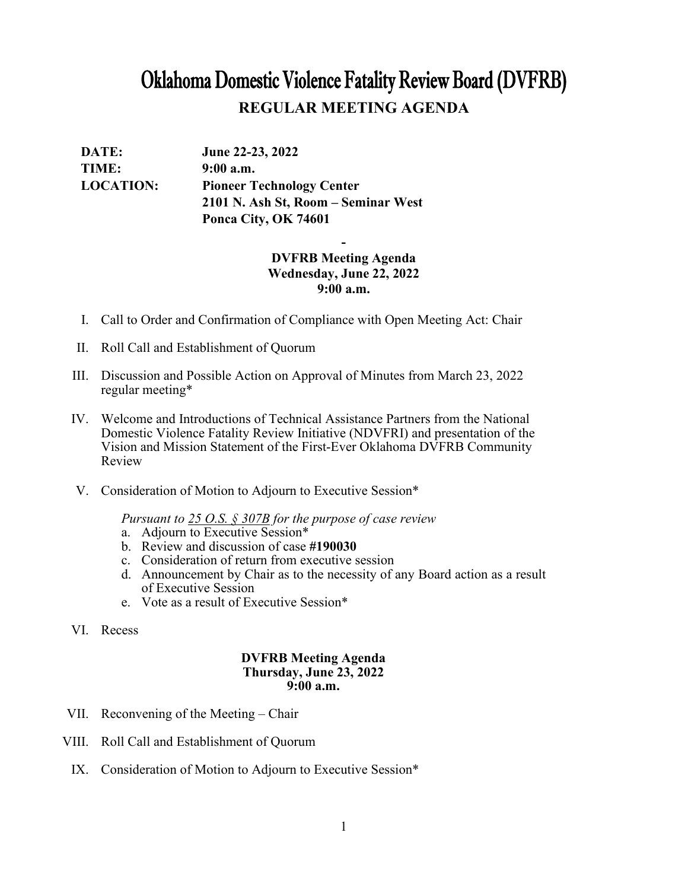# Oklahoma Domestic Violence Fatality Review Board (DVFRB) **REGULAR MEETING AGENDA**

| DATE:            | June 22-23, 2022                    |
|------------------|-------------------------------------|
| TIME:            | $9:00$ a.m.                         |
| <b>LOCATION:</b> | <b>Pioneer Technology Center</b>    |
|                  | 2101 N. Ash St, Room – Seminar West |
|                  | Ponca City, OK 74601                |

## **- DVFRB Meeting Agenda Wednesday, June 22, 2022 9:00 a.m.**

- I. Call to Order and Confirmation of Compliance with Open Meeting Act: Chair
- II. Roll Call and Establishment of Quorum
- III. Discussion and Possible Action on Approval of Minutes from March 23, 2022 regular meeting\*
- IV. Welcome and Introductions of Technical Assistance Partners from the National Domestic Violence Fatality Review Initiative (NDVFRI) and presentation of the Vision and Mission Statement of the First-Ever Oklahoma DVFRB Community Review
- V. Consideration of Motion to Adjourn to Executive Session\*

*Pursuant to 25 O.S. § 307B for the purpose of case review*

- a. Adjourn to Executive Session\*
- b. Review and discussion of case **#190030**
- c. Consideration of return from executive session
- d. Announcement by Chair as to the necessity of any Board action as a result of Executive Session
- e. Vote as a result of Executive Session\*
- VI. Recess

#### **DVFRB Meeting Agenda Thursday, June 23, 2022 9:00 a.m.**

- VII. Reconvening of the Meeting Chair
- VIII. Roll Call and Establishment of Quorum
	- IX. Consideration of Motion to Adjourn to Executive Session\*